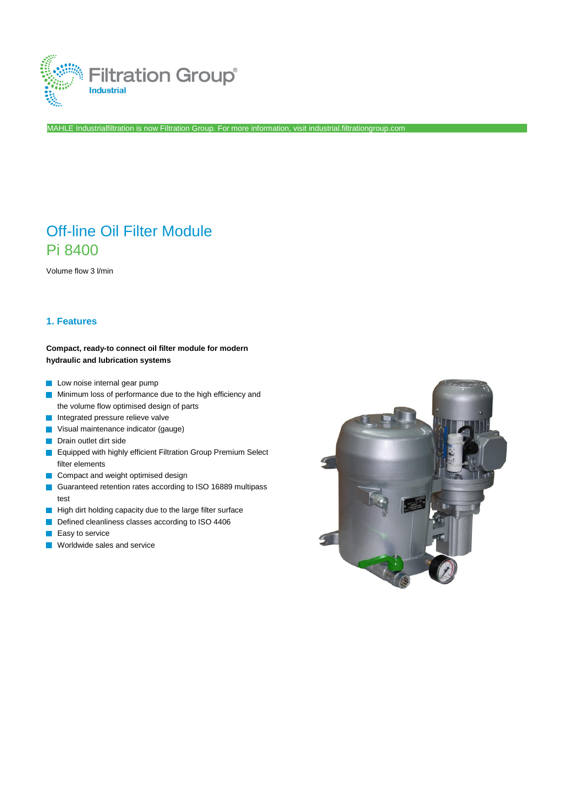

MAHLE Industrialfiltration is now Filtration Group. For more information, visit industrial.filtrationgroup.com

# Off-line Oil Filter Module Pi 8400

Volume flow 3 l/min

### **1. Features**

#### **Compact, ready-to connect oil filter module for modern hydraulic and lubrication systems**

- **Low noise internal gear pump**
- **Minimum loss of performance due to the high efficiency and** the volume flow optimised design of parts
- Integrated pressure relieve valve
- **Visual maintenance indicator (gauge)**
- **Drain outlet dirt side**
- **E** Equipped with highly efficient Filtration Group Premium Select filter elements
- Compact and weight optimised design
- Guaranteed retention rates according to ISO 16889 multipass test
- High dirt holding capacity due to the large filter surface
- Defined cleanliness classes according to ISO 4406
- $\blacksquare$  Easy to service
- **Worldwide sales and service**

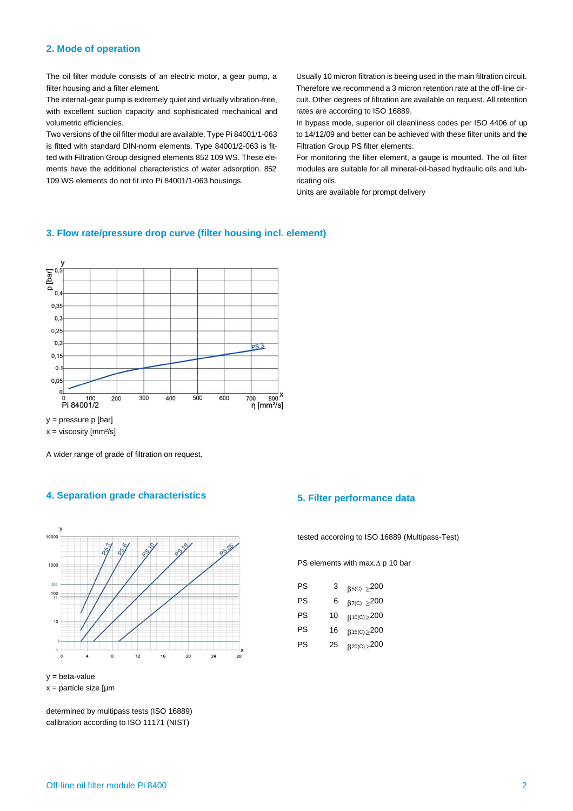#### **2. Mode of operation**

The oil filter module consists of an electric motor, a gear pump, a filter housing and a filter element.

The internal-gear pump is extremely quiet and virtually vibration-free, with excellent suction capacity and sophisticated mechanical and volumetric efficiencies.

Two versions of the oil filter modul are available. Type Pi 84001/1-063 is fitted with standard DIN-norm elements. Type 84001/2-063 is fitted with Filtration Group designed elements 852 109 WS. These elements have the additional characteristics of water adsorption. 852 109 WS elements do not fit into Pi 84001/1-063 housings.

Usually 10 micron filtration is beeing used in the main filtration circuit. Therefore we recommend a 3 micron retention rate at the off-line circuit. Other degrees of filtration are available on request. All retention rates are according to ISO 16889.

In bypass mode, superior oil cleanliness codes per ISO 4406 of up to 14/12/09 and better can be achieved with these filter units and the Filtration Group PS filter elements.

For monitoring the filter element, a gauge is mounted. The oil filter modules are suitable for all mineral-oil-based hydraulic oils and lubricating oils.

Units are available for prompt delivery



**3. Flow rate/pressure drop curve (filter housing incl. element)**

 $x = viscosity$  [mm $^{2}/s$ ]

A wider range of grade of filtration on request.

## **4. Separation grade characteristics 5. Filter performance data**



y = beta-value  $x =$  particle size  $\lceil \mu m \rceil$ 

determined by multipass tests (ISO 16889) calibration according to ISO 11171 (NIST)

tested according to ISO 16889 (Multipass-Test)

PS elements with max. $\Delta$  p 10 bar

| PS | З  | $\beta$ <sub>5(C)</sub> $\geq$ 200 |
|----|----|------------------------------------|
| PS | 6  | $\beta$ 7(C) $\geq$ 200            |
| PS | 10 | $\beta$ 10(C) $\geq$ 200           |
| PS | 16 | $\beta$ 15(C) $\geq$ 200           |
| PS | 25 | $\beta^{20(C)} \geq 200$           |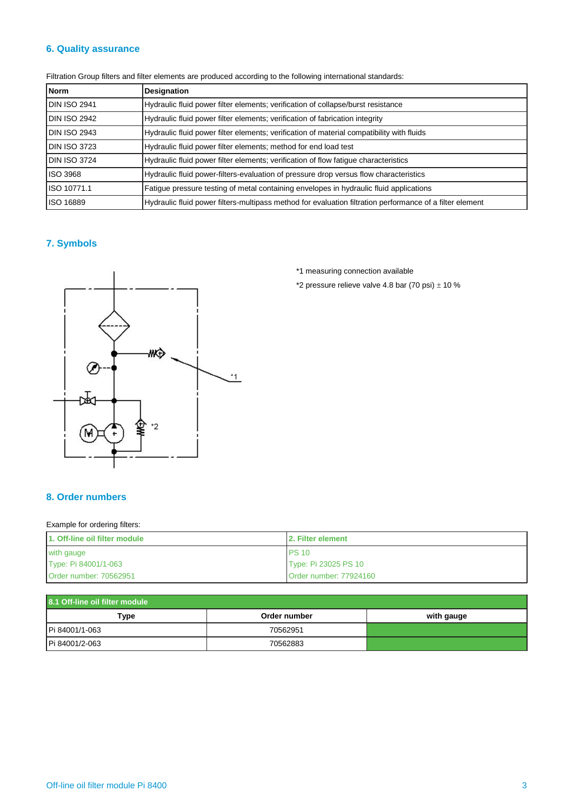## **6. Quality assurance**

| <b>Norm</b>         | <b>Designation</b>                                                                                       |  |
|---------------------|----------------------------------------------------------------------------------------------------------|--|
| <b>DIN ISO 2941</b> | Hydraulic fluid power filter elements; verification of collapse/burst resistance                         |  |
| <b>DIN ISO 2942</b> | Hydraulic fluid power filter elements; verification of fabrication integrity                             |  |
| <b>DIN ISO 2943</b> | Hydraulic fluid power filter elements; verification of material compatibility with fluids                |  |
| <b>DIN ISO 3723</b> | Hydraulic fluid power filter elements; method for end load test                                          |  |
| <b>DIN ISO 3724</b> | Hydraulic fluid power filter elements; verification of flow fatigue characteristics                      |  |
| <b>ISO 3968</b>     | Hydraulic fluid power-filters-evaluation of pressure drop versus flow characteristics                    |  |
| ISO 10771.1         | Fatigue pressure testing of metal containing envelopes in hydraulic fluid applications                   |  |
| ISO 16889           | Hydraulic fluid power filters-multipass method for evaluation filtration performance of a filter element |  |

Filtration Group filters and filter elements are produced according to the following international standards:

## **7. Symbols**



\*1 measuring connection available

\*2 pressure relieve valve 4.8 bar (70 psi)  $\pm$  10 %

## **8. Order numbers**

#### Example for ordering filters:

| 1. Off-line oil filter module | <b>12. Filter element</b> |  |
|-------------------------------|---------------------------|--|
| with gauge                    | <b>PS 10</b>              |  |
| Type: Pi 84001/1-063          | Type: Pi 23025 PS 10      |  |
| Order number: 70562951        | Order number: 77924160    |  |

| 8.1 Off-line oil filter module |              |            |  |  |
|--------------------------------|--------------|------------|--|--|
| Type                           | Order number | with gauge |  |  |
| Pi 84001/1-063                 | 70562951     |            |  |  |
| Pi 84001/2-063                 | 70562883     |            |  |  |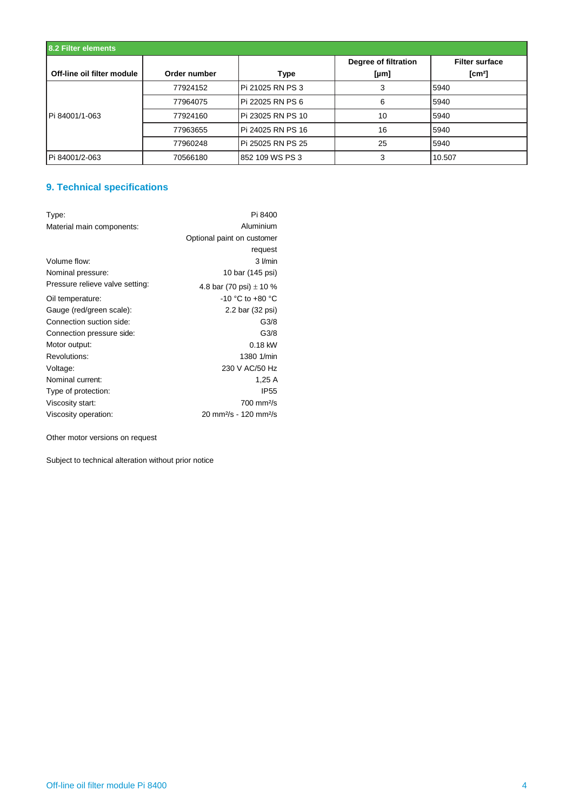| 8.2 Filter elements        |              |                   |                              |                                            |
|----------------------------|--------------|-------------------|------------------------------|--------------------------------------------|
| Off-line oil filter module | Order number | Type              | Degree of filtration<br>[µm] | <b>Filter surface</b><br>$\mathsf{[cm^2]}$ |
|                            | 77924152     | Pi 21025 RN PS 3  | 3                            | 5940                                       |
|                            | 77964075     | Pi 22025 RN PS 6  | 6                            | 5940                                       |
| Pi 84001/1-063             | 77924160     | Pi 23025 RN PS 10 | 10                           | 5940                                       |
|                            | 77963655     | Pi 24025 RN PS 16 | 16                           | 5940                                       |
|                            | 77960248     | Pi 25025 RN PS 25 | 25                           | 5940                                       |
| Pi 84001/2-063             | 70566180     | 852 109 WS PS 3   | 3                            | 10.507                                     |

## **9. Technical specifications**

| Type:                           | Pi 8400                                        |
|---------------------------------|------------------------------------------------|
| Material main components:       | Aluminium                                      |
|                                 | Optional paint on customer                     |
|                                 | request                                        |
| Volume flow:                    | 3 I/min                                        |
| Nominal pressure:               | 10 bar (145 psi)                               |
| Pressure relieve valve setting: | 4.8 bar (70 psi) $\pm$ 10 %                    |
| Oil temperature:                | $-10$ °C to $+80$ °C                           |
| Gauge (red/green scale):        | 2.2 bar (32 psi)                               |
| Connection suction side:        | G3/8                                           |
| Connection pressure side:       | G3/8                                           |
| Motor output:                   | 0.18 kW                                        |
| Revolutions:                    | 1380 1/min                                     |
| Voltage:                        | 230 V AC/50 Hz                                 |
| Nominal current:                | 1,25 A                                         |
| Type of protection:             | <b>IP55</b>                                    |
| Viscosity start:                | $700 \text{ mm}^2\text{/s}$                    |
| Viscosity operation:            | 20 mm <sup>2</sup> /s - 120 mm <sup>2</sup> /s |

Other motor versions on request

Subject to technical alteration without prior notice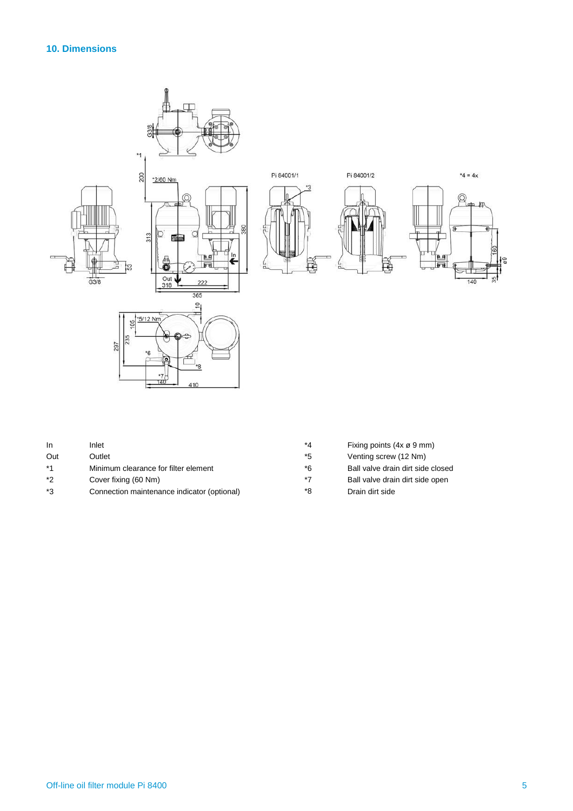## **10. Dimensions**



| In   | Inlet                                       | *4   | Fixing points $(4x \varnothing 9$ mm) |
|------|---------------------------------------------|------|---------------------------------------|
| Out  | Outlet                                      | *5   | Venting screw (12 Nm)                 |
| $*1$ | Minimum clearance for filter element        | *6   | Ball valve drain dirt side closed     |
| $*2$ | Cover fixing (60 Nm)                        | $*7$ | Ball valve drain dirt side open       |
| *3   | Connection maintenance indicator (optional) | *8   | Drain dirt side                       |